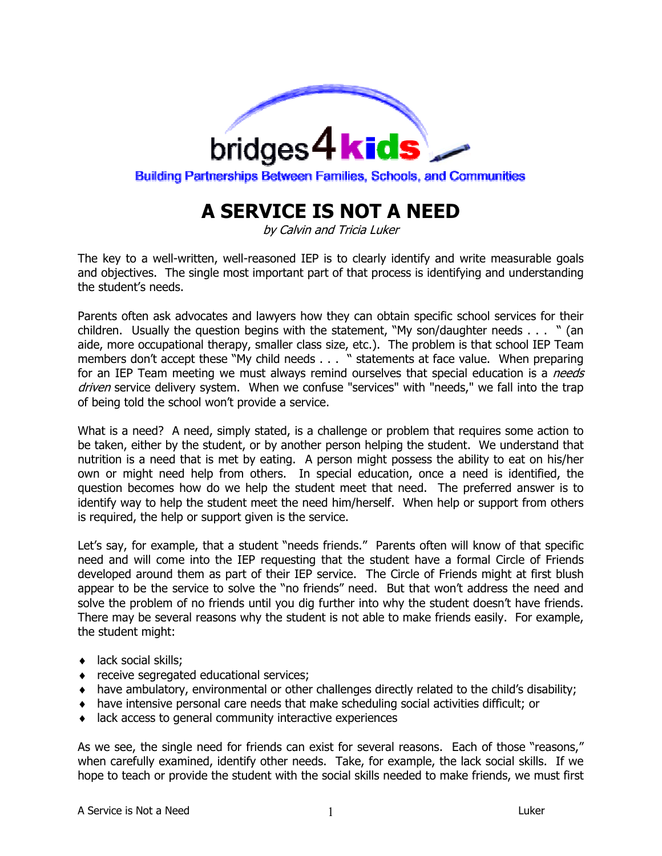

## **A SERVICE IS NOT A NEED**

by Calvin and Tricia Luker

The key to a well-written, well-reasoned IEP is to clearly identify and write measurable goals and objectives. The single most important part of that process is identifying and understanding the student's needs.

Parents often ask advocates and lawyers how they can obtain specific school services for their children. Usually the question begins with the statement, "My son/daughter needs . . . " (an aide, more occupational therapy, smaller class size, etc.). The problem is that school IEP Team members don't accept these "My child needs . . . " statements at face value. When preparing for an IEP Team meeting we must always remind ourselves that special education is a *needs* driven service delivery system. When we confuse "services" with "needs," we fall into the trap of being told the school won't provide a service.

What is a need? A need, simply stated, is a challenge or problem that requires some action to be taken, either by the student, or by another person helping the student. We understand that nutrition is a need that is met by eating. A person might possess the ability to eat on his/her own or might need help from others. In special education, once a need is identified, the question becomes how do we help the student meet that need. The preferred answer is to identify way to help the student meet the need him/herself. When help or support from others is required, the help or support given is the service.

Let's say, for example, that a student "needs friends." Parents often will know of that specific need and will come into the IEP requesting that the student have a formal Circle of Friends developed around them as part of their IEP service. The Circle of Friends might at first blush appear to be the service to solve the "no friends" need. But that won't address the need and solve the problem of no friends until you dig further into why the student doesn't have friends. There may be several reasons why the student is not able to make friends easily. For example, the student might:

- ♦ lack social skills;
- ♦ receive segregated educational services;
- ♦ have ambulatory, environmental or other challenges directly related to the child's disability;
- ♦ have intensive personal care needs that make scheduling social activities difficult; or
- ♦ lack access to general community interactive experiences

As we see, the single need for friends can exist for several reasons. Each of those "reasons," when carefully examined, identify other needs. Take, for example, the lack social skills. If we hope to teach or provide the student with the social skills needed to make friends, we must first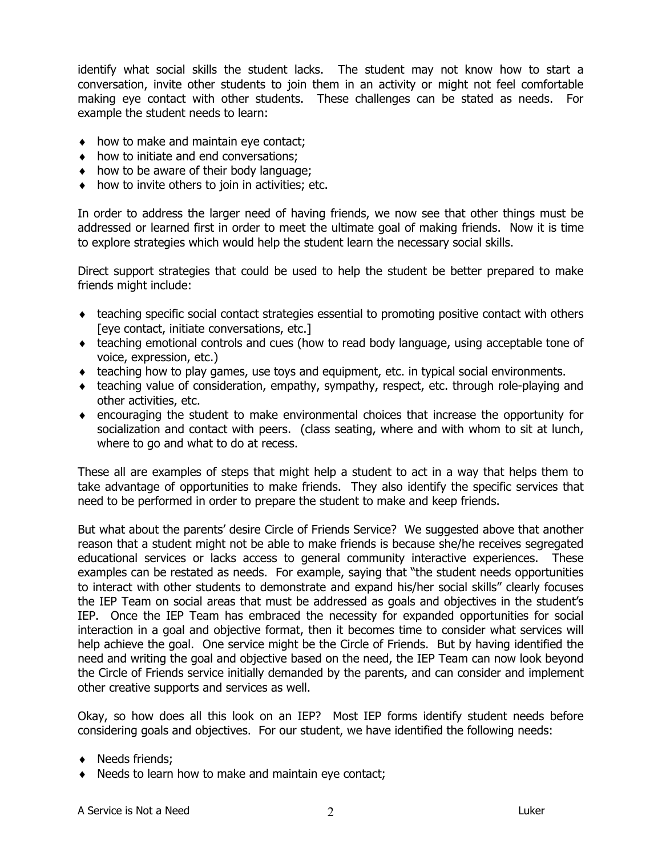identify what social skills the student lacks. The student may not know how to start a conversation, invite other students to join them in an activity or might not feel comfortable making eye contact with other students. These challenges can be stated as needs. For example the student needs to learn:

- ♦ how to make and maintain eye contact;
- ♦ how to initiate and end conversations;
- ♦ how to be aware of their body language;
- $\bullet$  how to invite others to join in activities; etc.

In order to address the larger need of having friends, we now see that other things must be addressed or learned first in order to meet the ultimate goal of making friends. Now it is time to explore strategies which would help the student learn the necessary social skills.

Direct support strategies that could be used to help the student be better prepared to make friends might include:

- ♦ teaching specific social contact strategies essential to promoting positive contact with others [eye contact, initiate conversations, etc.]
- ♦ teaching emotional controls and cues (how to read body language, using acceptable tone of voice, expression, etc.)
- ♦ teaching how to play games, use toys and equipment, etc. in typical social environments.
- ♦ teaching value of consideration, empathy, sympathy, respect, etc. through role-playing and other activities, etc.
- ♦ encouraging the student to make environmental choices that increase the opportunity for socialization and contact with peers. (class seating, where and with whom to sit at lunch, where to go and what to do at recess.

These all are examples of steps that might help a student to act in a way that helps them to take advantage of opportunities to make friends. They also identify the specific services that need to be performed in order to prepare the student to make and keep friends.

But what about the parents' desire Circle of Friends Service? We suggested above that another reason that a student might not be able to make friends is because she/he receives segregated educational services or lacks access to general community interactive experiences. These examples can be restated as needs. For example, saying that "the student needs opportunities to interact with other students to demonstrate and expand his/her social skills" clearly focuses the IEP Team on social areas that must be addressed as goals and objectives in the student's IEP. Once the IEP Team has embraced the necessity for expanded opportunities for social interaction in a goal and objective format, then it becomes time to consider what services will help achieve the goal. One service might be the Circle of Friends. But by having identified the need and writing the goal and objective based on the need, the IEP Team can now look beyond the Circle of Friends service initially demanded by the parents, and can consider and implement other creative supports and services as well.

Okay, so how does all this look on an IEP? Most IEP forms identify student needs before considering goals and objectives. For our student, we have identified the following needs:

- ♦ Needs friends;
- ♦ Needs to learn how to make and maintain eye contact;